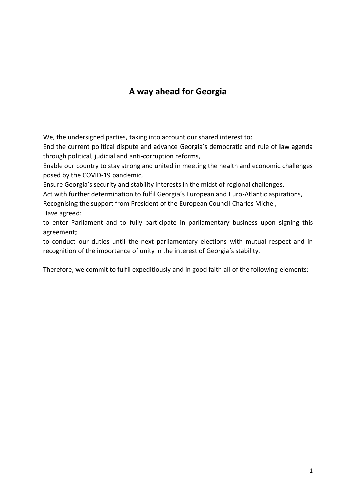# **A way ahead for Georgia**

We, the undersigned parties, taking into account our shared interest to:

End the current political dispute and advance Georgia's democratic and rule of law agenda through political, judicial and anti-corruption reforms,

Enable our country to stay strong and united in meeting the health and economic challenges posed by the COVID-19 pandemic,

Ensure Georgia's security and stability interests in the midst of regional challenges,

Act with further determination to fulfil Georgia's European and Euro-Atlantic aspirations,

Recognising the support from President of the European Council Charles Michel,

Have agreed:

to enter Parliament and to fully participate in parliamentary business upon signing this agreement;

to conduct our duties until the next parliamentary elections with mutual respect and in recognition of the importance of unity in the interest of Georgia's stability.

Therefore, we commit to fulfil expeditiously and in good faith all of the following elements: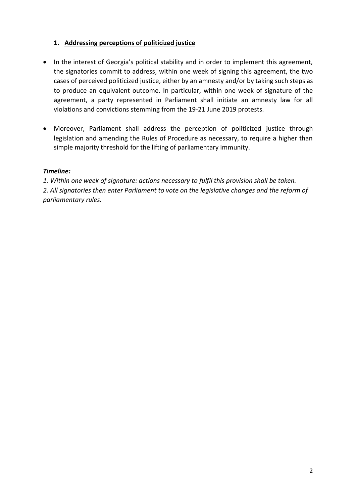# **1. Addressing perceptions of politicized justice**

- In the interest of Georgia's political stability and in order to implement this agreement, the signatories commit to address, within one week of signing this agreement, the two cases of perceived politicized justice, either by an amnesty and/or by taking such steps as to produce an equivalent outcome. In particular, within one week of signature of the agreement, a party represented in Parliament shall initiate an amnesty law for all violations and convictions stemming from the 19-21 June 2019 protests.
- Moreover, Parliament shall address the perception of politicized justice through legislation and amending the Rules of Procedure as necessary, to require a higher than simple majority threshold for the lifting of parliamentary immunity.

#### *Timeline:*

*1. Within one week of signature: actions necessary to fulfil this provision shall be taken. 2. All signatories then enter Parliament to vote on the legislative changes and the reform of parliamentary rules.*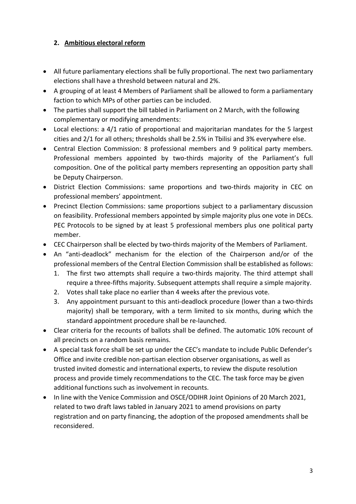# **2. Ambitious electoral reform**

- All future parliamentary elections shall be fully proportional. The next two parliamentary elections shall have a threshold between natural and 2%.
- A grouping of at least 4 Members of Parliament shall be allowed to form a parliamentary faction to which MPs of other parties can be included.
- The parties shall support the bill tabled in Parliament on 2 March, with the following complementary or modifying amendments:
- Local elections: a 4/1 ratio of proportional and majoritarian mandates for the 5 largest cities and 2/1 for all others; thresholds shall be 2.5% in Tbilisi and 3% everywhere else.
- Central Election Commission: 8 professional members and 9 political party members. Professional members appointed by two-thirds majority of the Parliament's full composition. One of the political party members representing an opposition party shall be Deputy Chairperson.
- District Election Commissions: same proportions and two-thirds majority in CEC on professional members' appointment.
- Precinct Election Commissions: same proportions subject to a parliamentary discussion on feasibility. Professional members appointed by simple majority plus one vote in DECs. PEC Protocols to be signed by at least 5 professional members plus one political party member.
- CEC Chairperson shall be elected by two-thirds majority of the Members of Parliament.
- An "anti-deadlock" mechanism for the election of the Chairperson and/or of the professional members of the Central Election Commission shall be established as follows:
	- 1. The first two attempts shall require a two-thirds majority. The third attempt shall require a three-fifths majority. Subsequent attempts shall require a simple majority.
	- 2. Votes shall take place no earlier than 4 weeks after the previous vote.
	- 3. Any appointment pursuant to this anti-deadlock procedure (lower than a two-thirds majority) shall be temporary, with a term limited to six months, during which the standard appointment procedure shall be re-launched.
- Clear criteria for the recounts of ballots shall be defined. The automatic 10% recount of all precincts on a random basis remains.
- A special task force shall be set up under the CEC's mandate to include Public Defender's Office and invite credible non-partisan election observer organisations, as well as trusted invited domestic and international experts, to review the dispute resolution process and provide timely recommendations to the CEC. The task force may be given additional functions such as involvement in recounts.
- In line with the Venice Commission and OSCE/ODIHR Joint Opinions of 20 March 2021, related to two draft laws tabled in January 2021 to amend provisions on party registration and on party financing, the adoption of the proposed amendments shall be reconsidered.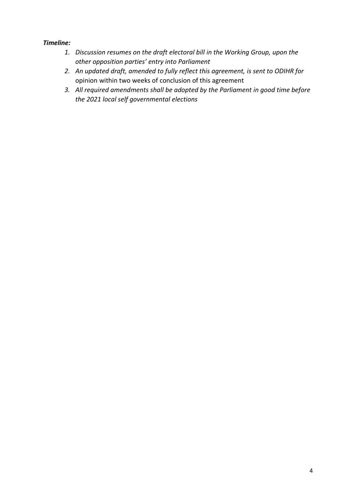## *Timeline:*

- *1. Discussion resumes on the draft electoral bill in the Working Group, upon the other opposition parties' entry into Parliament*
- *2. An updated draft, amended to fully reflect this agreement, is sent to ODIHR for*  opinion within two weeks of conclusion of this agreement
- *3. All required amendments shall be adopted by the Parliament in good time before the 2021 local self governmental elections*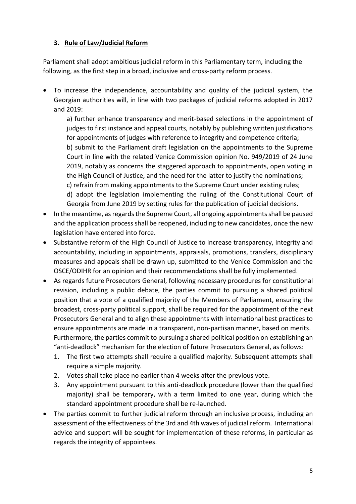# **3. Rule of Law/Judicial Reform**

Parliament shall adopt ambitious judicial reform in this Parliamentary term, including the following, as the first step in a broad, inclusive and cross-party reform process.

 To increase the independence, accountability and quality of the judicial system, the Georgian authorities will, in line with two packages of judicial reforms adopted in 2017 and 2019:

a) further enhance transparency and merit-based selections in the appointment of judges to first instance and appeal courts, notably by publishing written justifications for appointments of judges with reference to integrity and competence criteria; b) submit to the Parliament draft legislation on the appointments to the Supreme Court in line with the related Venice Commission opinion No. 949/2019 of 24 June 2019, notably as concerns the staggered approach to appointments, open voting in the High Council of Justice, and the need for the latter to justify the nominations; c) refrain from making appointments to the Supreme Court under existing rules; d) adopt the legislation implementing the ruling of the Constitutional Court of Georgia from June 2019 by setting rules for the publication of judicial decisions.

- In the meantime, as regards the Supreme Court, all ongoing appointments shall be paused and the application process shall be reopened, including to new candidates, once the new legislation have entered into force.
- Substantive reform of the High Council of Justice to increase transparency, integrity and accountability, including in appointments, appraisals, promotions, transfers, disciplinary measures and appeals shall be drawn up, submitted to the Venice Commission and the OSCE/ODIHR for an opinion and their recommendations shall be fully implemented.
- As regards future Prosecutors General, following necessary procedures for constitutional revision, including a public debate, the parties commit to pursuing a shared political position that a vote of a qualified majority of the Members of Parliament, ensuring the broadest, cross-party political support, shall be required for the appointment of the next Prosecutors General and to align these appointments with international best practices to ensure appointments are made in a transparent, non-partisan manner, based on merits. Furthermore, the parties commit to pursuing a shared political position on establishing an "anti-deadlock" mechanism for the election of future Prosecutors General, as follows:
	- 1. The first two attempts shall require a qualified majority. Subsequent attempts shall require a simple majority.
	- 2. Votes shall take place no earlier than 4 weeks after the previous vote.
	- 3. Any appointment pursuant to this anti-deadlock procedure (lower than the qualified majority) shall be temporary, with a term limited to one year, during which the standard appointment procedure shall be re-launched.
- The parties commit to further judicial reform through an inclusive process, including an assessment of the effectiveness of the 3rd and 4th waves of judicial reform. International advice and support will be sought for implementation of these reforms, in particular as regards the integrity of appointees.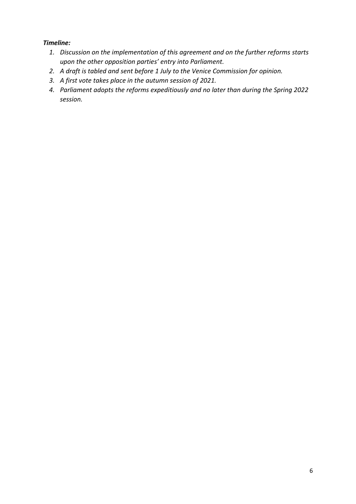## *Timeline:*

- *1. Discussion on the implementation of this agreement and on the further reforms starts upon the other opposition parties' entry into Parliament.*
- *2. A draft is tabled and sent before 1 July to the Venice Commission for opinion.*
- *3. A first vote takes place in the autumn session of 2021.*
- *4. Parliament adopts the reforms expeditiously and no later than during the Spring 2022 session.*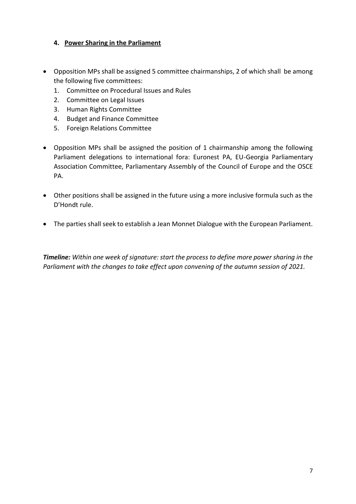#### **4. Power Sharing in the Parliament**

- Opposition MPs shall be assigned 5 committee chairmanships, 2 of which shall be among the following five committees:
	- 1. Committee on Procedural Issues and Rules
	- 2. Committee on Legal Issues
	- 3. Human Rights Committee
	- 4. Budget and Finance Committee
	- 5. Foreign Relations Committee
- Opposition MPs shall be assigned the position of 1 chairmanship among the following Parliament delegations to international fora: Euronest PA, EU-Georgia Parliamentary Association Committee, Parliamentary Assembly of the Council of Europe and the OSCE PA.
- Other positions shall be assigned in the future using a more inclusive formula such as the D'Hondt rule.
- The parties shall seek to establish a Jean Monnet Dialogue with the European Parliament.

*Timeline: Within one week of signature: start the process to define more power sharing in the Parliament with the changes to take effect upon convening of the autumn session of 2021.*